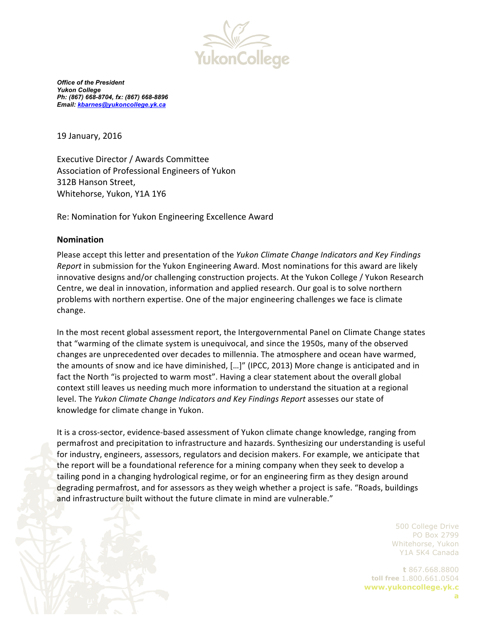

*Office of the President Yukon College Ph: (867) 668-8704, fx: (867) 668-8896 Email: kbarnes@yukoncollege.yk.ca*

19 January, 2016

Executive Director / Awards Committee Association of Professional Engineers of Yukon 312B Hanson Street, Whitehorse, Yukon, Y1A 1Y6

Re: Nomination for Yukon Engineering Excellence Award

## **Nomination**

Please accept this letter and presentation of the *Yukon Climate Change Indicators and Key Findings Report* in submission for the Yukon Engineering Award. Most nominations for this award are likely innovative designs and/or challenging construction projects. At the Yukon College / Yukon Research Centre, we deal in innovation, information and applied research. Our goal is to solve northern problems with northern expertise. One of the major engineering challenges we face is climate change.

In the most recent global assessment report, the Intergovernmental Panel on Climate Change states that "warming of the climate system is unequivocal, and since the 1950s, many of the observed changes are unprecedented over decades to millennia. The atmosphere and ocean have warmed, the amounts of snow and ice have diminished, […]" (IPCC, 2013) More change is anticipated and in fact the North "is projected to warm most". Having a clear statement about the overall global context still leaves us needing much more information to understand the situation at a regional level. The *Yukon Climate Change Indicators and Key Findings Report* assesses our state of knowledge for climate change in Yukon.

It is a cross-sector, evidence-based assessment of Yukon climate change knowledge, ranging from permafrost and precipitation to infrastructure and hazards. Synthesizing our understanding is useful for industry, engineers, assessors, regulators and decision makers. For example, we anticipate that the report will be a foundational reference for a mining company when they seek to develop a tailing pond in a changing hydrological regime, or for an engineering firm as they design around degrading permafrost, and for assessors as they weigh whether a project is safe. "Roads, buildings and infrastructure built without the future climate in mind are vulnerable."

> 500 College Drive PO Box 2799 Whitehorse, Yukon Y1A 5K4 Canada

**t** 867.668.8800 **toll free** 1.800.661.0504 **www.yukoncollege.yk.c a**